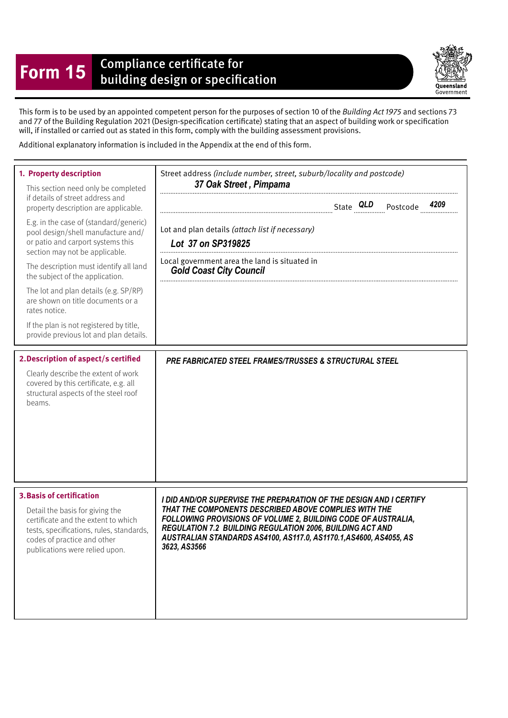## **Form 15** Compliance certificate for<br>building design or specification



This form is to be used by an appointed competent person for the purposes of section 10 of the Building Act 1975 and sections 73 and 77 of the Building Regulation 2021 (Design-specifcation certifcate) stating that an aspect of building work or specifcation will, if installed or carried out as stated in this form, comply with the building assessment provisions.

Additional explanatory information is included in the Appendix at the end of this form.

| 1. Property description<br>This section need only be completed<br>if details of street address and<br>property description are applicable.<br>E.g. in the case of (standard/generic)<br>pool design/shell manufacture and/<br>or patio and carport systems this<br>section may not be applicable.<br>The description must identify all land<br>the subject of the application.<br>The lot and plan details (e.g. SP/RP)<br>are shown on title documents or a<br>rates notice.<br>If the plan is not registered by title,<br>provide previous lot and plan details. | Street address (include number, street, suburb/locality and postcode)<br>37 Oak Street, Pimpama<br>4209<br>Lot and plan details (attach list if necessary)<br>Lot 37 on SP319825<br>Local government area the land is situated in<br><b>Gold Coast City Council</b>                                                                             |
|--------------------------------------------------------------------------------------------------------------------------------------------------------------------------------------------------------------------------------------------------------------------------------------------------------------------------------------------------------------------------------------------------------------------------------------------------------------------------------------------------------------------------------------------------------------------|-------------------------------------------------------------------------------------------------------------------------------------------------------------------------------------------------------------------------------------------------------------------------------------------------------------------------------------------------|
| 2. Description of aspect/s certified<br>Clearly describe the extent of work<br>covered by this certificate, e.g. all<br>structural aspects of the steel roof<br>beams.                                                                                                                                                                                                                                                                                                                                                                                             | PRE FABRICATED STEEL FRAMES/TRUSSES & STRUCTURAL STEEL                                                                                                                                                                                                                                                                                          |
| <b>3. Basis of certification</b><br>Detail the basis for giving the<br>certificate and the extent to which<br>tests, specifications, rules, standards,<br>codes of practice and other<br>publications were relied upon.                                                                                                                                                                                                                                                                                                                                            | I DID AND/OR SUPERVISE THE PREPARATION OF THE DESIGN AND I CERTIFY<br>THAT THE COMPONENTS DESCRIBED ABOVE COMPLIES WITH THE<br>FOLLOWING PROVISIONS OF VOLUME 2, BUILDING CODE OF AUSTRALIA,<br>REGULATION 7.2 BUILDING REGULATION 2006, BUILDING ACT AND<br>AUSTRALIAN STANDARDS AS4100, AS117.0, AS1170.1, AS4600, AS4055, AS<br>3623, AS3566 |